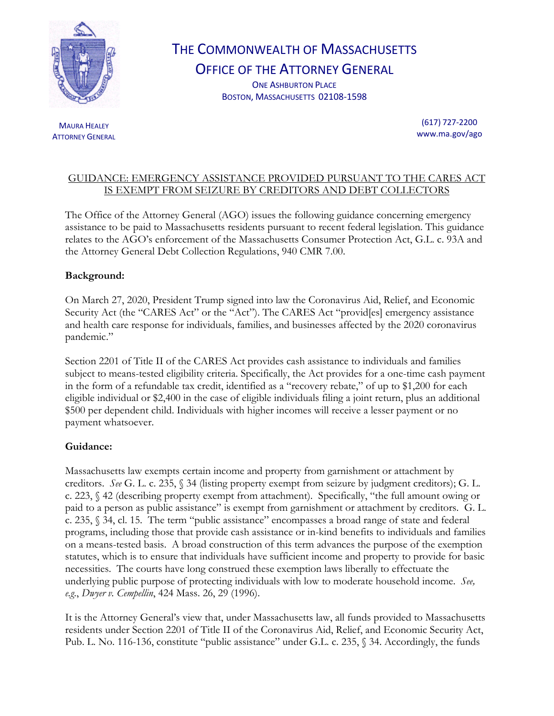

## THE COMMONWEALTH OF MASSACHUSETTS

OFFICE OF THE ATTORNEY GENERAL

ONE ASHBURTON PLACE BOSTON, MASSACHUSETTS 02108-1598

**MAURA HEALEY** ATTORNEY GENERAL

(617) 727-2200 www.ma.gov/ago

## GUIDANCE: EMERGENCY ASSISTANCE PROVIDED PURSUANT TO THE CARES ACT IS EXEMPT FROM SEIZURE BY CREDITORS AND DEBT COLLECTORS

The Office of the Attorney General (AGO) issues the following guidance concerning emergency assistance to be paid to Massachusetts residents pursuant to recent federal legislation. This guidance relates to the AGO's enforcement of the Massachusetts Consumer Protection Act, G.L. c. 93A and the Attorney General Debt Collection Regulations, 940 CMR 7.00.

## **Background:**

On March 27, 2020, President Trump signed into law the Coronavirus Aid, Relief, and Economic Security Act (the "CARES Act" or the "Act"). The CARES Act "provid[es] emergency assistance and health care response for individuals, families, and businesses affected by the 2020 coronavirus pandemic."

Section 2201 of Title II of the CARES Act provides cash assistance to individuals and families subject to means-tested eligibility criteria. Specifically, the Act provides for a one-time cash payment in the form of a refundable tax credit, identified as a "recovery rebate," of up to \$1,200 for each eligible individual or \$2,400 in the case of eligible individuals filing a joint return, plus an additional \$500 per dependent child. Individuals with higher incomes will receive a lesser payment or no payment whatsoever.

## **Guidance:**

Massachusetts law exempts certain income and property from garnishment or attachment by creditors. *See* G. L. c. 235, § 34 (listing property exempt from seizure by judgment creditors); G. L. c. 223, § 42 (describing property exempt from attachment). Specifically, "the full amount owing or paid to a person as public assistance" is exempt from garnishment or attachment by creditors. G. L. c. 235, § 34, cl. 15. The term "public assistance" encompasses a broad range of state and federal programs, including those that provide cash assistance or in-kind benefits to individuals and families on a means-tested basis. A broad construction of this term advances the purpose of the exemption statutes, which is to ensure that individuals have sufficient income and property to provide for basic necessities. The courts have long construed these exemption laws liberally to effectuate the underlying public purpose of protecting individuals with low to moderate household income. *See, e.g*., *Dwyer v. Cempellin*, 424 Mass. 26, 29 (1996).

It is the Attorney General's view that, under Massachusetts law, all funds provided to Massachusetts residents under Section 2201 of Title II of the Coronavirus Aid, Relief, and Economic Security Act, Pub. L. No. 116-136, constitute "public assistance" under G.L. c. 235, § 34. Accordingly, the funds